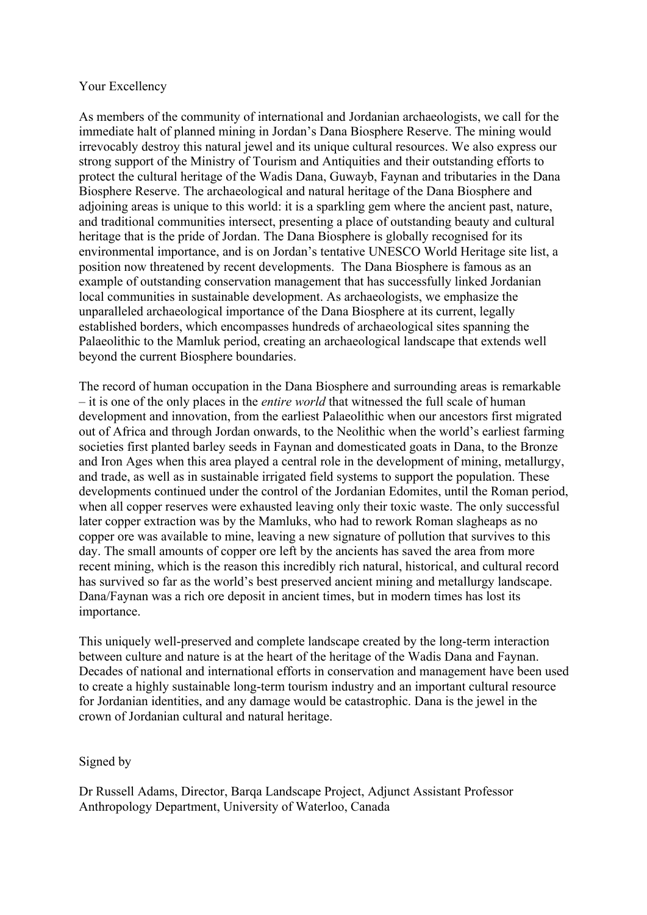## Your Excellency

As members of the community of international and Jordanian archaeologists, we call for the immediate halt of planned mining in Jordan's Dana Biosphere Reserve. The mining would irrevocably destroy this natural jewel and its unique cultural resources. We also express our strong support of the Ministry of Tourism and Antiquities and their outstanding efforts to protect the cultural heritage of the Wadis Dana, Guwayb, Faynan and tributaries in the Dana Biosphere Reserve. The archaeological and natural heritage of the Dana Biosphere and adjoining areas is unique to this world: it is a sparkling gem where the ancient past, nature, and traditional communities intersect, presenting a place of outstanding beauty and cultural heritage that is the pride of Jordan. The Dana Biosphere is globally recognised for its environmental importance, and is on Jordan's tentative UNESCO World Heritage site list, a position now threatened by recent developments. The Dana Biosphere is famous as an example of outstanding conservation management that has successfully linked Jordanian local communities in sustainable development. As archaeologists, we emphasize the unparalleled archaeological importance of the Dana Biosphere at its current, legally established borders, which encompasses hundreds of archaeological sites spanning the Palaeolithic to the Mamluk period, creating an archaeological landscape that extends well beyond the current Biosphere boundaries.

The record of human occupation in the Dana Biosphere and surrounding areas is remarkable – it is one of the only places in the *entire world* that witnessed the full scale of human development and innovation, from the earliest Palaeolithic when our ancestors first migrated out of Africa and through Jordan onwards, to the Neolithic when the world's earliest farming societies first planted barley seeds in Faynan and domesticated goats in Dana, to the Bronze and Iron Ages when this area played a central role in the development of mining, metallurgy, and trade, as well as in sustainable irrigated field systems to support the population. These developments continued under the control of the Jordanian Edomites, until the Roman period, when all copper reserves were exhausted leaving only their toxic waste. The only successful later copper extraction was by the Mamluks, who had to rework Roman slagheaps as no copper ore was available to mine, leaving a new signature of pollution that survives to this day. The small amounts of copper ore left by the ancients has saved the area from more recent mining, which is the reason this incredibly rich natural, historical, and cultural record has survived so far as the world's best preserved ancient mining and metallurgy landscape. Dana/Faynan was a rich ore deposit in ancient times, but in modern times has lost its importance.

This uniquely well-preserved and complete landscape created by the long-term interaction between culture and nature is at the heart of the heritage of the Wadis Dana and Faynan. Decades of national and international efforts in conservation and management have been used to create a highly sustainable long-term tourism industry and an important cultural resource for Jordanian identities, and any damage would be catastrophic. Dana is the jewel in the crown of Jordanian cultural and natural heritage.

## Signed by

Dr Russell Adams, Director, Barqa Landscape Project, Adjunct Assistant Professor Anthropology Department, University of Waterloo, Canada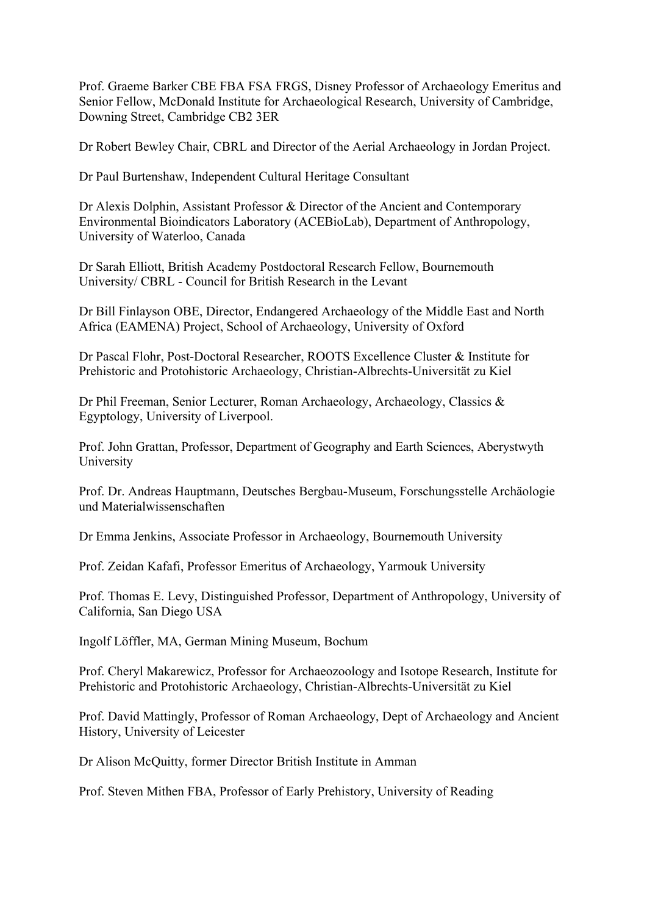Prof. Graeme Barker CBE FBA FSA FRGS, Disney Professor of Archaeology Emeritus and Senior Fellow, McDonald Institute for Archaeological Research, University of Cambridge, Downing Street, Cambridge CB2 3ER

Dr Robert Bewley Chair, CBRL and Director of the Aerial Archaeology in Jordan Project.

Dr Paul Burtenshaw, Independent Cultural Heritage Consultant

Dr Alexis Dolphin, Assistant Professor & Director of the Ancient and Contemporary Environmental Bioindicators Laboratory (ACEBioLab), Department of Anthropology, University of Waterloo, Canada

Dr Sarah Elliott, British Academy Postdoctoral Research Fellow, Bournemouth University/ CBRL - Council for British Research in the Levant

Dr Bill Finlayson OBE, Director, Endangered Archaeology of the Middle East and North Africa (EAMENA) Project, School of Archaeology, University of Oxford

Dr Pascal Flohr, Post-Doctoral Researcher, ROOTS Excellence Cluster & Institute for Prehistoric and Protohistoric Archaeology, Christian-Albrechts-Universität zu Kiel

Dr Phil Freeman, Senior Lecturer, Roman Archaeology, Archaeology, Classics & Egyptology, University of Liverpool.

Prof. John Grattan, Professor, Department of Geography and Earth Sciences, Aberystwyth University

Prof. Dr. Andreas Hauptmann, Deutsches Bergbau-Museum, Forschungsstelle Archäologie und Materialwissenschaften

Dr Emma Jenkins, Associate Professor in Archaeology, Bournemouth University

Prof. Zeidan Kafafi, Professor Emeritus of Archaeology, Yarmouk University

Prof. Thomas E. Levy, Distinguished Professor, Department of Anthropology, University of California, San Diego USA

Ingolf Löffler, MA, German Mining Museum, Bochum

Prof. Cheryl Makarewicz, Professor for Archaeozoology and Isotope Research, Institute for Prehistoric and Protohistoric Archaeology, Christian-Albrechts-Universität zu Kiel

Prof. David Mattingly, Professor of Roman Archaeology, Dept of Archaeology and Ancient History, University of Leicester

Dr Alison McQuitty, former Director British Institute in Amman

Prof. Steven Mithen FBA, Professor of Early Prehistory, University of Reading